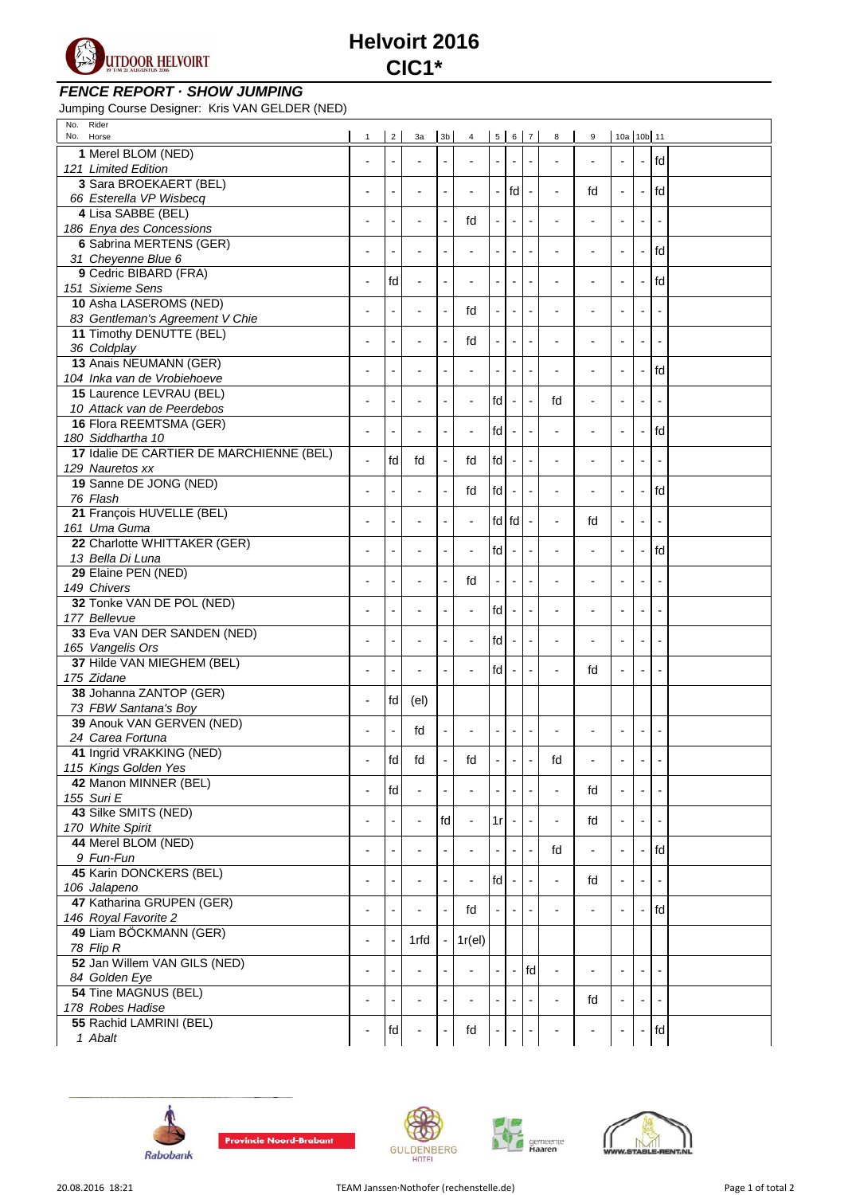

**Helvoirt 2016 CIC1\***

## **FENCE REPORT · SHOW JUMPING**

Jumping Course Designer: Kris VAN GELDER (NED)

| Rider<br>No.<br>No.<br>Horse                      | $\mathbf{1}$   | $2^{\prime}$             | 3a 3b                    |                          | 4 5 6 7                  |    |       |                          | 8                        | 9                        | 10a 10b 11               |                          |      |  |
|---------------------------------------------------|----------------|--------------------------|--------------------------|--------------------------|--------------------------|----|-------|--------------------------|--------------------------|--------------------------|--------------------------|--------------------------|------|--|
| 1 Merel BLOM (NED)                                |                |                          |                          |                          |                          |    |       |                          |                          |                          |                          |                          |      |  |
| 121 Limited Edition                               |                | ÷,                       |                          |                          |                          |    |       |                          |                          |                          | $\overline{\phantom{a}}$ | $\blacksquare$           | fd   |  |
| 3 Sara BROEKAERT (BEL)                            |                |                          |                          |                          |                          |    |       |                          |                          |                          |                          |                          |      |  |
| 66 Esterella VP Wisbecq                           |                | Ĭ.                       | $\overline{a}$           |                          |                          |    | fd    |                          | $\overline{a}$           | fd                       | $\blacksquare$           | $\overline{a}$           | l fd |  |
| 4 Lisa SABBE (BEL)                                |                |                          |                          |                          |                          |    |       |                          |                          |                          |                          |                          |      |  |
| 186 Enya des Concessions                          | ÷,             | L,                       | L,                       | $\overline{a}$           | fd                       |    |       |                          |                          |                          | $\blacksquare$           | $\blacksquare$           |      |  |
| 6 Sabrina MERTENS (GER)                           |                |                          |                          |                          |                          |    |       |                          |                          |                          |                          |                          |      |  |
| 31 Cheyenne Blue 6                                | -              | ÷                        | $\overline{\phantom{0}}$ |                          |                          |    |       |                          |                          | $\blacksquare$           | $\overline{\phantom{a}}$ | $\blacksquare$           | fd   |  |
| 9 Cedric BIBARD (FRA)                             |                | fd                       |                          |                          | $\overline{\phantom{a}}$ |    |       |                          | ÷,                       | $\blacksquare$           | $\overline{\phantom{a}}$ | $\blacksquare$           | fd   |  |
| 151 Sixieme Sens                                  | ÷              |                          | $\overline{\phantom{a}}$ |                          |                          |    |       |                          |                          |                          |                          |                          |      |  |
| 10 Asha LASEROMS (NED)                            | $\blacksquare$ | ÷                        | $\overline{\phantom{0}}$ |                          | fd                       |    |       | $\overline{\phantom{a}}$ | $\overline{a}$           | $\overline{\phantom{a}}$ | $\overline{\phantom{a}}$ | $\overline{\phantom{a}}$ |      |  |
| 83 Gentleman's Agreement V Chie                   |                |                          |                          |                          |                          |    |       |                          |                          |                          |                          |                          |      |  |
| 11 Timothy DENUTTE (BEL)                          | ÷              | ÷                        | $\overline{\phantom{0}}$ |                          | fd                       |    |       |                          | ÷,                       | $\overline{\phantom{a}}$ | $\blacksquare$           | $\overline{\phantom{a}}$ |      |  |
| 36 Coldplay                                       |                |                          |                          |                          |                          |    |       |                          |                          |                          |                          |                          |      |  |
| 13 Anais NEUMANN (GER)                            | ÷,             | $\overline{\phantom{a}}$ | ٠                        |                          | $\overline{a}$           |    |       | ÷,                       | ÷,                       | $\blacksquare$           | $\overline{\phantom{a}}$ | $\blacksquare$           | fd   |  |
| 104 Inka van de Vrobiehoeve                       |                |                          |                          |                          |                          |    |       |                          |                          |                          |                          |                          |      |  |
| 15 Laurence LEVRAU (BEL)                          | ÷,             | Ĩ.                       |                          |                          | $\overline{a}$           | fd |       |                          | fd                       | $\overline{\phantom{a}}$ | $\blacksquare$           |                          |      |  |
| 10 Attack van de Peerdebos                        |                |                          |                          |                          |                          |    |       |                          |                          |                          |                          |                          |      |  |
| 16 Flora REEMTSMA (GER)                           | ÷              | ÷                        | $\overline{\phantom{0}}$ |                          | $\overline{a}$           | fd |       |                          | ÷,                       | $\overline{\phantom{a}}$ | $\overline{\phantom{a}}$ | ÷,                       | fd   |  |
| 180 Siddhartha 10                                 |                |                          |                          |                          |                          |    |       |                          |                          |                          |                          |                          |      |  |
| 17 Idalie DE CARTIER DE MARCHIENNE (BEL)          | L,             | fd                       | fd                       |                          | fd                       | fd |       |                          | ÷,                       | $\overline{\phantom{a}}$ | $\overline{\phantom{a}}$ | ÷,                       |      |  |
| 129 Nauretos xx                                   |                |                          |                          |                          |                          |    |       |                          |                          |                          |                          |                          |      |  |
| 19 Sanne DE JONG (NED)                            | ۰              | $\overline{\phantom{a}}$ | $\overline{\phantom{a}}$ | $\overline{a}$           | fd                       | fd |       | $\overline{\phantom{a}}$ | ÷,                       | $\overline{a}$           | $\overline{\phantom{a}}$ | $\overline{\phantom{a}}$ | fd   |  |
| 76 Flash                                          |                |                          |                          |                          |                          |    |       |                          |                          |                          |                          |                          |      |  |
| 21 François HUVELLE (BEL)                         |                | $\overline{\phantom{0}}$ | ۰                        |                          | $\overline{a}$           |    | fd fd |                          | $\overline{\phantom{a}}$ | fd                       | $\blacksquare$           | $\overline{a}$           |      |  |
| 161 Uma Guma                                      |                |                          |                          |                          |                          |    |       |                          |                          |                          |                          |                          |      |  |
| 22 Charlotte WHITTAKER (GER)                      | ÷,             | $\blacksquare$           | $\blacksquare$           | $\overline{\phantom{a}}$ | $\overline{a}$           | fd |       | $\overline{\phantom{a}}$ | ÷,                       | $\overline{a}$           | $\overline{\phantom{a}}$ | $\blacksquare$           | fd   |  |
| 13 Bella Di Luna                                  |                |                          |                          |                          |                          |    |       |                          |                          |                          |                          |                          |      |  |
| 29 Elaine PEN (NED)                               |                | $\overline{\phantom{a}}$ | $\overline{a}$           |                          | fd                       | L, |       |                          | ÷,                       | $\overline{\phantom{a}}$ | $\overline{a}$           | $\overline{\phantom{a}}$ |      |  |
| 149 Chivers                                       |                |                          |                          |                          |                          |    |       |                          |                          |                          |                          |                          |      |  |
| 32 Tonke VAN DE POL (NED)                         | $\blacksquare$ | $\overline{\phantom{a}}$ | $\overline{a}$           | $\overline{a}$           | $\overline{a}$           | fd |       | $\blacksquare$           | ÷,                       | $\overline{\phantom{a}}$ | $\overline{\phantom{a}}$ | $\blacksquare$           |      |  |
| 177 Bellevue                                      |                |                          |                          |                          |                          |    |       |                          |                          |                          |                          |                          |      |  |
| 33 Eva VAN DER SANDEN (NED)                       |                | $\overline{a}$           | $\overline{a}$           |                          | $\overline{a}$           | fd |       |                          | $\overline{a}$           | $\overline{a}$           | $\overline{\phantom{a}}$ | $\overline{\phantom{a}}$ |      |  |
| 165 Vangelis Ors<br>37 Hilde VAN MIEGHEM (BEL)    |                |                          |                          |                          |                          |    |       |                          |                          |                          |                          |                          |      |  |
| 175 Zidane                                        | -              | $\overline{\phantom{a}}$ | $\blacksquare$           |                          | $\overline{a}$           | fd |       | $\overline{\phantom{a}}$ | L,                       | fd                       | $\overline{\phantom{a}}$ | $\blacksquare$           |      |  |
| 38 Johanna ZANTOP (GER)                           |                |                          |                          |                          |                          |    |       |                          |                          |                          |                          |                          |      |  |
|                                                   | -              | fd                       | $\left(\text{el}\right)$ |                          |                          |    |       |                          |                          |                          |                          |                          |      |  |
| 73 FBW Santana's Boy<br>39 Anouk VAN GERVEN (NED) |                |                          |                          |                          |                          |    |       |                          |                          |                          |                          |                          |      |  |
| 24 Carea Fortuna                                  |                | $\overline{\phantom{a}}$ | fd                       |                          |                          |    |       | $\overline{a}$           |                          |                          | $\overline{\phantom{a}}$ | $\overline{\phantom{a}}$ |      |  |
| 41 Ingrid VRAKKING (NED)                          |                |                          |                          |                          |                          |    |       |                          |                          |                          |                          |                          |      |  |
| 115 Kings Golden Yes                              |                | fd                       | $\operatorname{\sf fd}$  |                          | fd                       |    |       |                          | fd                       |                          |                          |                          |      |  |
| 42 Manon MINNER (BEL)                             |                |                          |                          |                          |                          |    |       |                          |                          |                          |                          |                          |      |  |
| 155 Suri E                                        | $\overline{a}$ | fd                       |                          |                          |                          |    |       |                          | $\overline{a}$           | fd                       | $\blacksquare$           |                          |      |  |
| 43 Silke SMITS (NED)                              |                |                          |                          |                          |                          |    |       |                          |                          |                          |                          |                          |      |  |
| 170 White Spirit                                  |                |                          | $\overline{\phantom{0}}$ | fd                       |                          | 1r |       |                          | ÷,                       | fd                       |                          |                          |      |  |
| 44 Merel BLOM (NED)                               |                |                          |                          |                          |                          |    |       |                          |                          |                          |                          |                          |      |  |
| 9 Fun-Fun                                         |                |                          | ٠                        |                          |                          |    |       |                          | fd                       | $\overline{\phantom{a}}$ | $\blacksquare$           | $\blacksquare$           | fd   |  |
| 45 Karin DONCKERS (BEL)                           |                |                          |                          |                          |                          |    |       |                          |                          |                          |                          |                          |      |  |
| 106 Jalapeno                                      | $\blacksquare$ |                          |                          |                          |                          | fd |       |                          |                          | fd                       |                          |                          |      |  |
| 47 Katharina GRUPEN (GER)                         |                |                          |                          |                          |                          |    |       |                          |                          |                          |                          |                          |      |  |
| 146 Royal Favorite 2                              | ۰              |                          |                          |                          | fd                       |    |       |                          |                          |                          |                          |                          | fd   |  |
| 49 Liam BÖCKMANN (GER)                            |                |                          |                          |                          |                          |    |       |                          |                          |                          |                          |                          |      |  |
| 78 Flip R                                         |                |                          | 1rfd                     |                          | 1r(el)                   |    |       |                          |                          |                          |                          |                          |      |  |
| 52 Jan Willem VAN GILS (NED)                      |                |                          |                          |                          |                          |    |       |                          |                          |                          |                          |                          |      |  |
| 84 Golden Eye                                     | $\overline{a}$ |                          |                          |                          |                          |    |       | fd                       | $\overline{\phantom{a}}$ |                          |                          |                          |      |  |
| 54 Tine MAGNUS (BEL)                              |                |                          |                          |                          |                          |    |       |                          |                          |                          |                          |                          |      |  |
| 178 Robes Hadise                                  | $\blacksquare$ | $\overline{a}$           | $\overline{a}$           |                          |                          |    |       |                          | $\overline{\phantom{a}}$ | fd                       | $\blacksquare$           | $\overline{\phantom{a}}$ |      |  |
| 55 Rachid LAMRINI (BEL)                           |                |                          |                          |                          |                          |    |       |                          |                          |                          |                          |                          |      |  |
| 1 Abalt                                           |                | fd                       |                          |                          | fd                       |    |       |                          |                          |                          |                          | $\overline{\phantom{a}}$ | fd   |  |
|                                                   |                |                          |                          |                          |                          |    |       |                          |                          |                          |                          |                          |      |  |